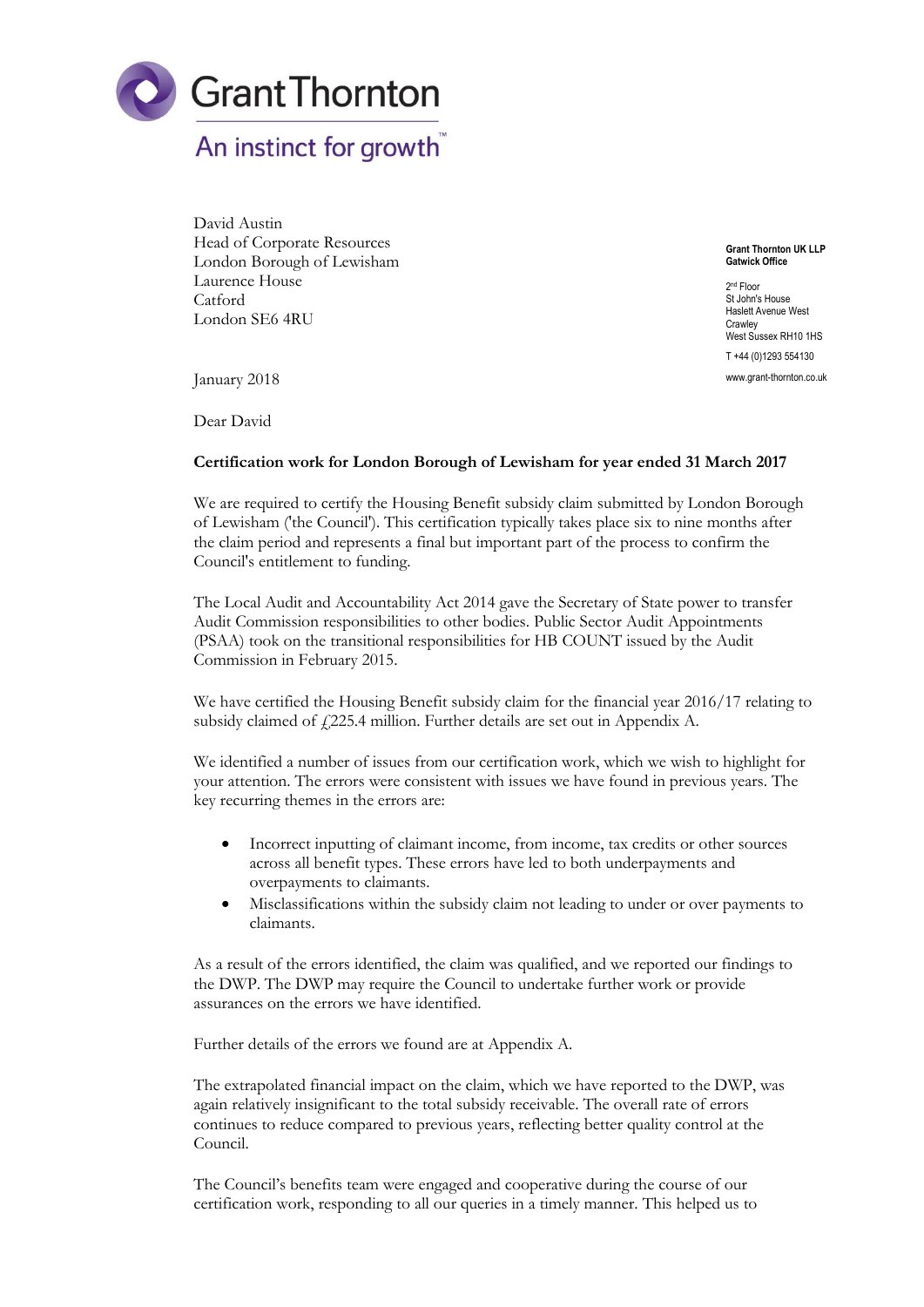

## David Austin Head of Corporate Resources London Borough of Lewisham Laurence House Catford London SE6 4RU

**Grant Thornton UK LLP Gatwick Office**

2<sup>nd</sup> Floor St John's House Haslett Avenue West **Crawley** West Sussex RH10 1HS T +44 (0)1293 554130 www.grant-thornton.co.uk

January 2018

Dear David

## **Certification work for London Borough of Lewisham for year ended 31 March 2017**

We are required to certify the Housing Benefit subsidy claim submitted by London Borough of Lewisham ('the Council'). This certification typically takes place six to nine months after the claim period and represents a final but important part of the process to confirm the Council's entitlement to funding.

The Local Audit and Accountability Act 2014 gave the Secretary of State power to transfer Audit Commission responsibilities to other bodies. Public Sector Audit Appointments (PSAA) took on the transitional responsibilities for HB COUNT issued by the Audit Commission in February 2015.

We have certified the Housing Benefit subsidy claim for the financial year 2016/17 relating to subsidy claimed of  $f_2$ 225.4 million. Further details are set out in Appendix A.

We identified a number of issues from our certification work, which we wish to highlight for your attention. The errors were consistent with issues we have found in previous years. The key recurring themes in the errors are:

- Incorrect inputting of claimant income, from income, tax credits or other sources across all benefit types. These errors have led to both underpayments and overpayments to claimants.
- Misclassifications within the subsidy claim not leading to under or over payments to claimants.

As a result of the errors identified, the claim was qualified, and we reported our findings to the DWP. The DWP may require the Council to undertake further work or provide assurances on the errors we have identified.

Further details of the errors we found are at Appendix A.

The extrapolated financial impact on the claim, which we have reported to the DWP, was again relatively insignificant to the total subsidy receivable. The overall rate of errors continues to reduce compared to previous years, reflecting better quality control at the Council.

The Council's benefits team were engaged and cooperative during the course of our certification work, responding to all our queries in a timely manner. This helped us to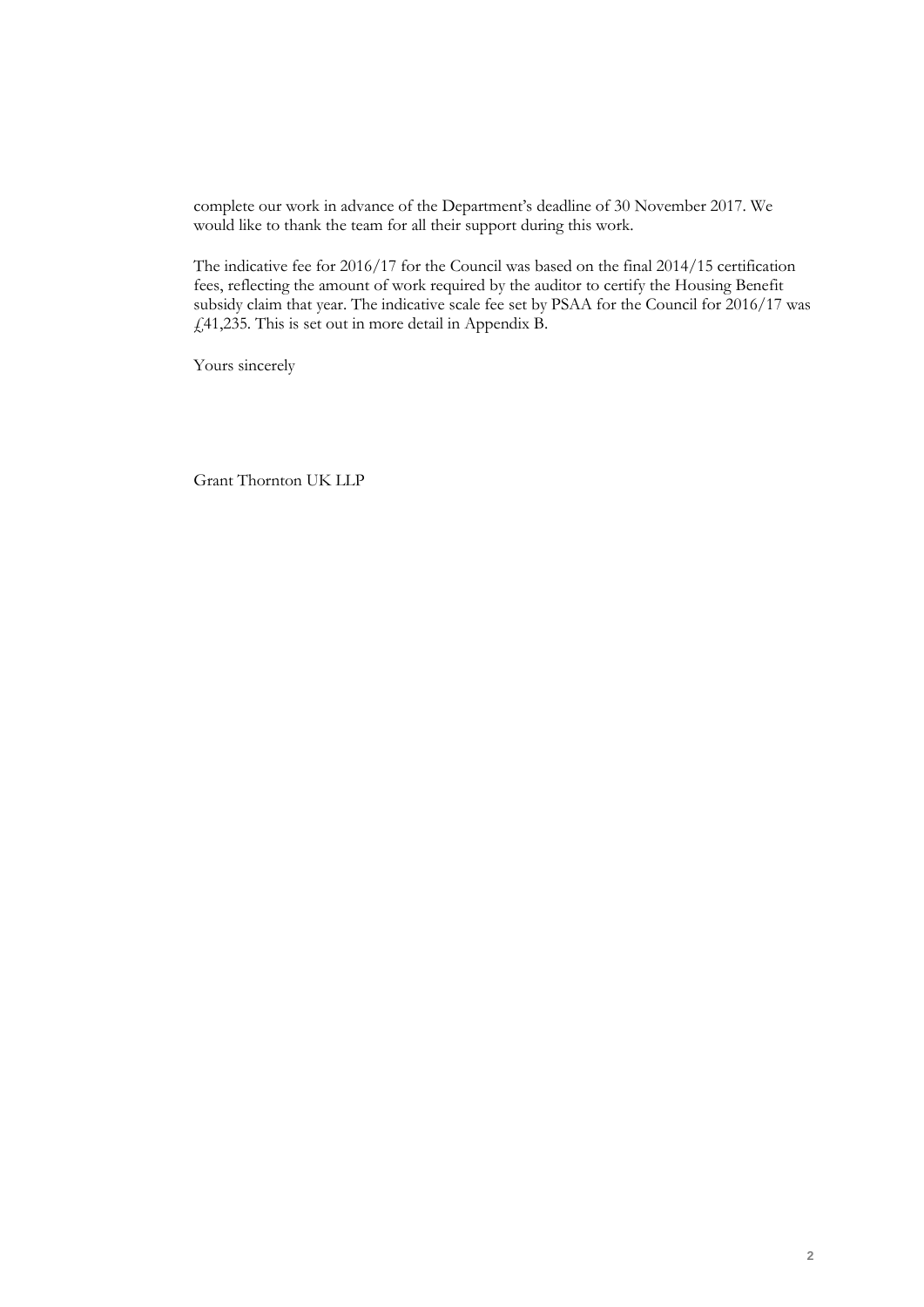complete our work in advance of the Department's deadline of 30 November 2017. We would like to thank the team for all their support during this work.

The indicative fee for 2016/17 for the Council was based on the final 2014/15 certification fees, reflecting the amount of work required by the auditor to certify the Housing Benefit subsidy claim that year. The indicative scale fee set by PSAA for the Council for 2016/17 was £41,235. This is set out in more detail in Appendix B.

Yours sincerely

Grant Thornton UK LLP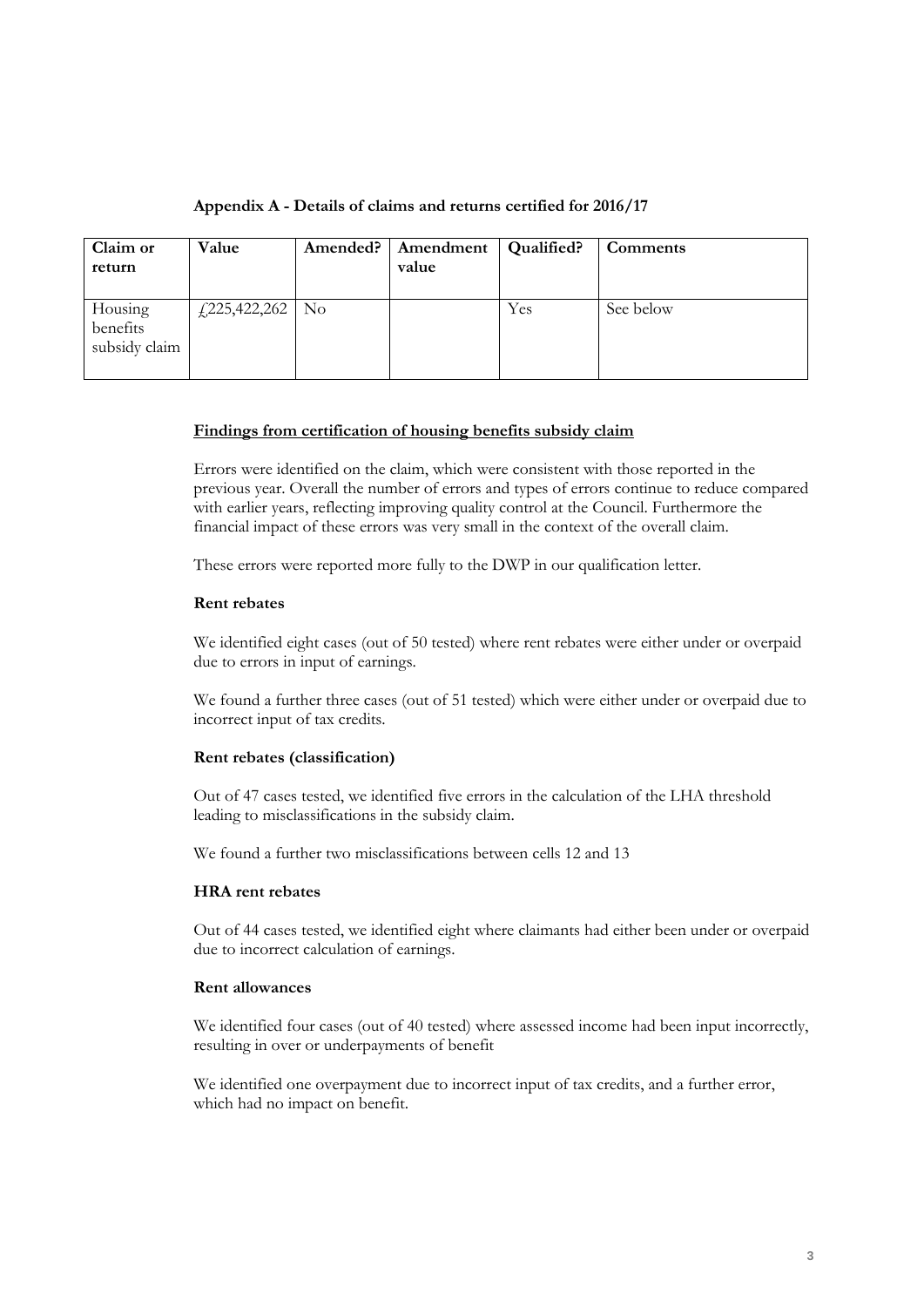|  |  |  |  |  |  |  |  | Appendix A - Details of claims and returns certified for 2016/17 |  |  |  |
|--|--|--|--|--|--|--|--|------------------------------------------------------------------|--|--|--|
|--|--|--|--|--|--|--|--|------------------------------------------------------------------|--|--|--|

| Claim or<br>return                   | Value                       | Amended?   Amendment   Qualified?<br>value |     | Comments  |
|--------------------------------------|-----------------------------|--------------------------------------------|-----|-----------|
| Housing<br>benefits<br>subsidy claim | $\frac{1}{2}225,422,262$ No |                                            | Yes | See below |

#### **Findings from certification of housing benefits subsidy claim**

Errors were identified on the claim, which were consistent with those reported in the previous year. Overall the number of errors and types of errors continue to reduce compared with earlier years, reflecting improving quality control at the Council. Furthermore the financial impact of these errors was very small in the context of the overall claim.

These errors were reported more fully to the DWP in our qualification letter.

## **Rent rebates**

We identified eight cases (out of 50 tested) where rent rebates were either under or overpaid due to errors in input of earnings.

We found a further three cases (out of 51 tested) which were either under or overpaid due to incorrect input of tax credits.

#### **Rent rebates (classification)**

Out of 47 cases tested, we identified five errors in the calculation of the LHA threshold leading to misclassifications in the subsidy claim.

We found a further two misclassifications between cells 12 and 13

## **HRA rent rebates**

Out of 44 cases tested, we identified eight where claimants had either been under or overpaid due to incorrect calculation of earnings.

#### **Rent allowances**

We identified four cases (out of 40 tested) where assessed income had been input incorrectly, resulting in over or underpayments of benefit

We identified one overpayment due to incorrect input of tax credits, and a further error, which had no impact on benefit.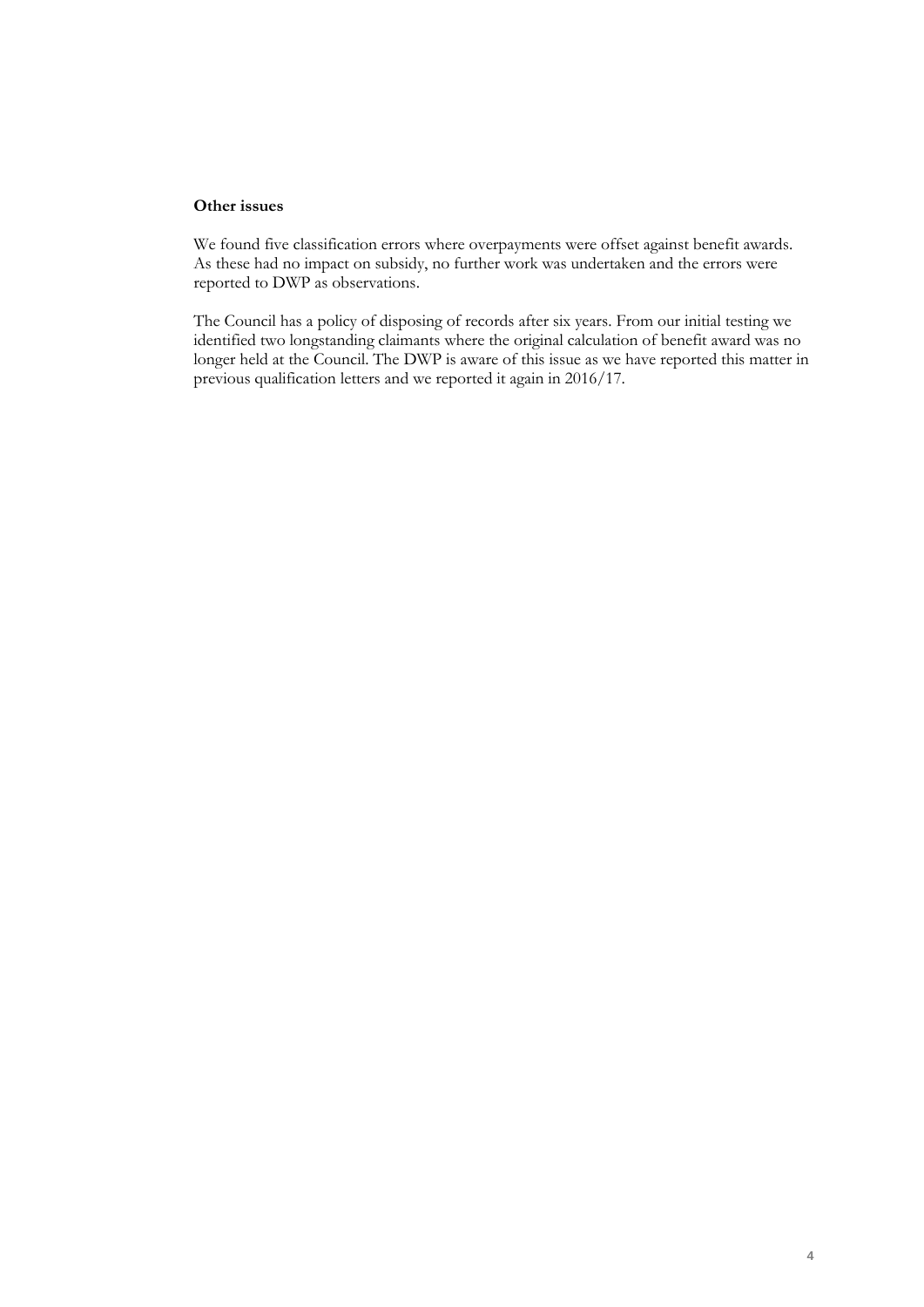### **Other issues**

We found five classification errors where overpayments were offset against benefit awards. As these had no impact on subsidy, no further work was undertaken and the errors were reported to DWP as observations.

The Council has a policy of disposing of records after six years. From our initial testing we identified two longstanding claimants where the original calculation of benefit award was no longer held at the Council. The DWP is aware of this issue as we have reported this matter in previous qualification letters and we reported it again in 2016/17.